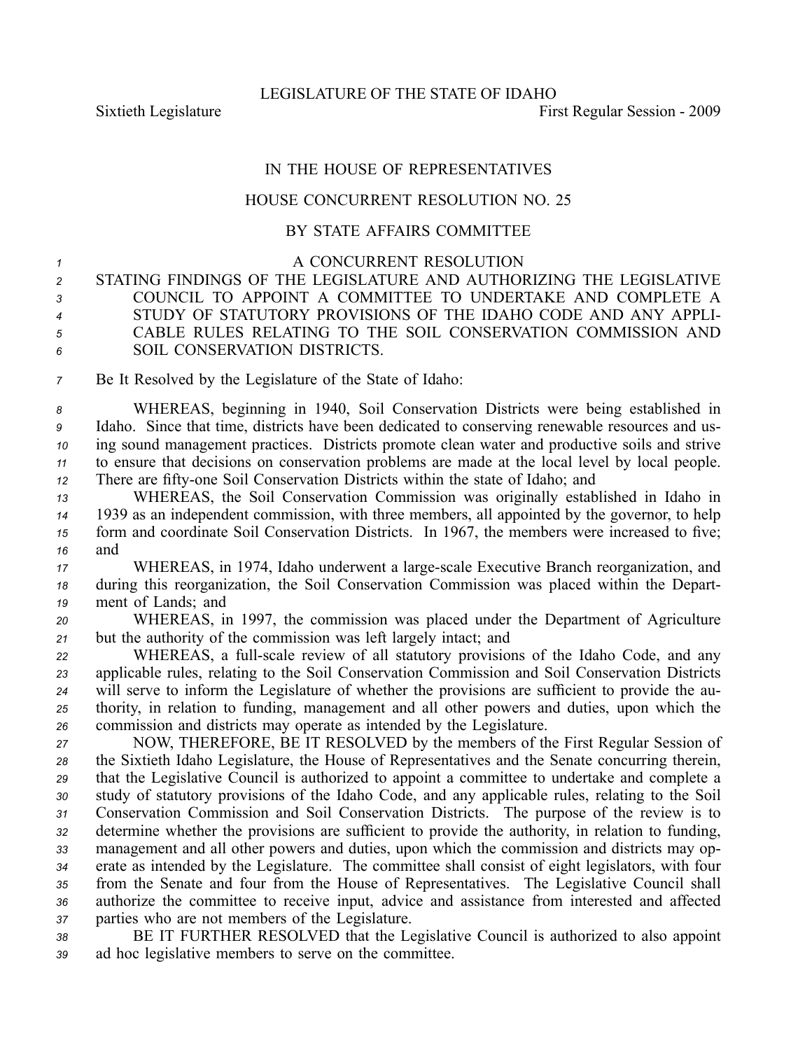## IN THE HOUSE OF REPRESENTATIVES

## HOUSE CONCURRENT RESOLUTION NO. 25

## BY STATE AFFAIRS COMMITTEE

<sup>1</sup> A CONCURRENT RESOLUTION *<sup>2</sup>* STATING FINDINGS OF THE LEGISLATURE AND AUTHORIZING THE LEGISLATIVE

 COUNCIL TO APPOINT A COMMITTEE TO UNDERTAKE AND COMPLETE A STUDY OF STATUTORY PROVISIONS OF THE IDAHO CODE AND ANY APPLI- CABLE RULES RELATING TO THE SOIL CONSERVATION COMMISSION AND SOIL CONSERVATION DISTRICTS.

*<sup>7</sup>* Be It Resolved by the Legislature of the State of Idaho:

 WHEREAS, beginning in 1940, Soil Conservation Districts were being established in Idaho. Since that time, districts have been dedicated to conserving renewable resources and us- ing sound managemen<sup>t</sup> practices. Districts promote clean water and productive soils and strive to ensure that decisions on conservation problems are made at the local level by local people. 12 There are fifty-one Soil Conservation Districts within the state of Idaho; and

 WHEREAS, the Soil Conservation Commission was originally established in Idaho in 1939 as an independent commission, with three members, all appointed by the governor, to help form and coordinate Soil Conservation Districts. In 1967, the members were increased to five; *<sup>16</sup>* and

*<sup>17</sup>* WHEREAS, in 1974, Idaho underwent <sup>a</sup> largescale Executive Branch reorganization, and *<sup>18</sup>* during this reorganization, the Soil Conservation Commission was placed within the Depart-*<sup>19</sup>* ment of Lands; and

*<sup>20</sup>* WHEREAS, in 1997, the commission was placed under the Department of Agriculture *<sup>21</sup>* but the authority of the commission was left largely intact; and

22 WHEREAS, a full-scale review of all statutory provisions of the Idaho Code, and any applicable rules, relating to the Soil Conservation Commission and Soil Conservation Districts will serve to inform the Legislature of whether the provisions are sufficient to provide the au- thority, in relation to funding, managemen<sup>t</sup> and all other powers and duties, upon which the commission and districts may operate as intended by the Legislature.

 NOW, THEREFORE, BE IT RESOLVED by the members of the First Regular Session of the Sixtieth Idaho Legislature, the House of Representatives and the Senate concurring therein, that the Legislative Council is authorized to appoint <sup>a</sup> committee to undertake and complete <sup>a</sup> study of statutory provisions of the Idaho Code, and any applicable rules, relating to the Soil Conservation Commission and Soil Conservation Districts. The purpose of the review is to determine whether the provisions are sufficient to provide the authority, in relation to funding, managemen<sup>t</sup> and all other powers and duties, upon which the commission and districts may op- erate as intended by the Legislature. The committee shall consist of eight legislators, with four from the Senate and four from the House of Representatives. The Legislative Council shall authorize the committee to receive input, advice and assistance from interested and affected parties who are not members of the Legislature.

*<sup>38</sup>* BE IT FURTHER RESOLVED that the Legislative Council is authorized to also appoint *<sup>39</sup>* ad hoc legislative members to serve on the committee.